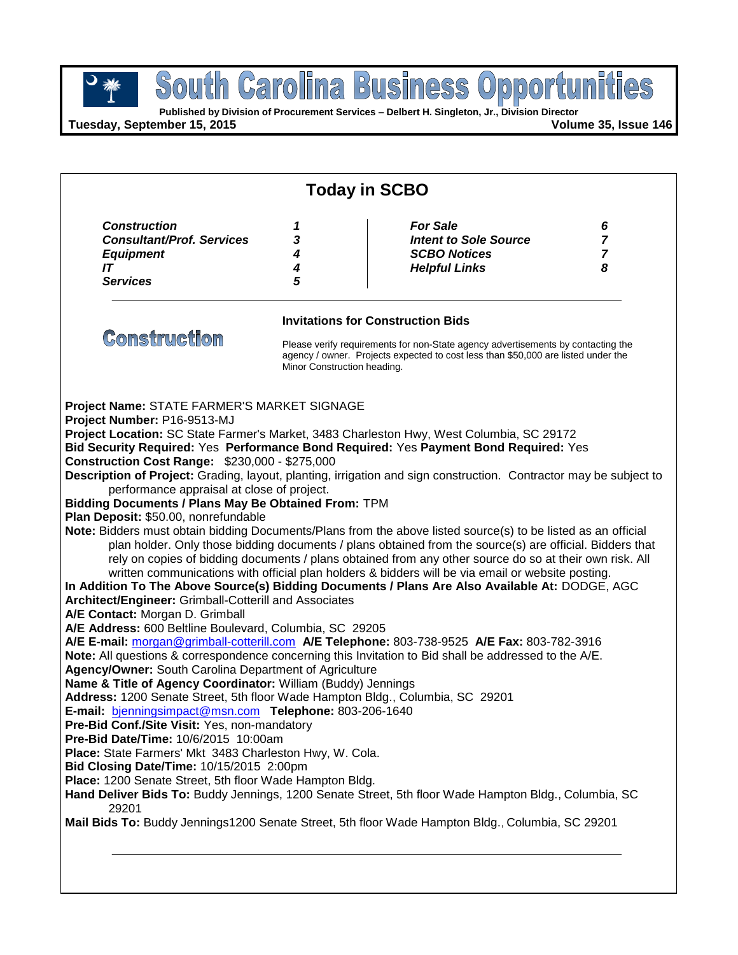**Published by Division of Procurement Services – Delbert H. Singleton, Jr., Division Director**

**Tuesday, September 15, 2015 Volume 35, Issue 146**

|                                                                                                              | <b>Today in SCBO</b>        |                                                                                                                                                                                  |                     |  |  |
|--------------------------------------------------------------------------------------------------------------|-----------------------------|----------------------------------------------------------------------------------------------------------------------------------------------------------------------------------|---------------------|--|--|
| <b>Construction</b><br><b>Consultant/Prof. Services</b>                                                      | 1                           | <b>For Sale</b>                                                                                                                                                                  | 6<br>$\overline{7}$ |  |  |
| <b>Equipment</b>                                                                                             | 3<br>4                      | <b>Intent to Sole Source</b><br><b>SCBO Notices</b>                                                                                                                              | $\overline{7}$      |  |  |
| IT                                                                                                           | 4                           | <b>Helpful Links</b>                                                                                                                                                             | 8                   |  |  |
| <b>Services</b>                                                                                              | 5                           |                                                                                                                                                                                  |                     |  |  |
|                                                                                                              |                             | <b>Invitations for Construction Bids</b>                                                                                                                                         |                     |  |  |
| <b>Construction</b>                                                                                          | Minor Construction heading. | Please verify requirements for non-State agency advertisements by contacting the<br>agency / owner. Projects expected to cost less than \$50,000 are listed under the            |                     |  |  |
| Project Name: STATE FARMER'S MARKET SIGNAGE                                                                  |                             |                                                                                                                                                                                  |                     |  |  |
| Project Number: P16-9513-MJ                                                                                  |                             |                                                                                                                                                                                  |                     |  |  |
|                                                                                                              |                             | Project Location: SC State Farmer's Market, 3483 Charleston Hwy, West Columbia, SC 29172<br>Bid Security Required: Yes Performance Bond Required: Yes Payment Bond Required: Yes |                     |  |  |
| <b>Construction Cost Range: \$230,000 - \$275,000</b>                                                        |                             |                                                                                                                                                                                  |                     |  |  |
|                                                                                                              |                             | Description of Project: Grading, layout, planting, irrigation and sign construction. Contractor may be subject to                                                                |                     |  |  |
| performance appraisal at close of project.                                                                   |                             |                                                                                                                                                                                  |                     |  |  |
| Bidding Documents / Plans May Be Obtained From: TPM                                                          |                             |                                                                                                                                                                                  |                     |  |  |
| Plan Deposit: \$50.00, nonrefundable                                                                         |                             |                                                                                                                                                                                  |                     |  |  |
|                                                                                                              |                             | Note: Bidders must obtain bidding Documents/Plans from the above listed source(s) to be listed as an official                                                                    |                     |  |  |
|                                                                                                              |                             | plan holder. Only those bidding documents / plans obtained from the source(s) are official. Bidders that                                                                         |                     |  |  |
|                                                                                                              |                             | rely on copies of bidding documents / plans obtained from any other source do so at their own risk. All                                                                          |                     |  |  |
|                                                                                                              |                             | written communications with official plan holders & bidders will be via email or website posting.                                                                                |                     |  |  |
|                                                                                                              |                             | In Addition To The Above Source(s) Bidding Documents / Plans Are Also Available At: DODGE, AGC                                                                                   |                     |  |  |
| Architect/Engineer: Grimball-Cotterill and Associates                                                        |                             |                                                                                                                                                                                  |                     |  |  |
| A/E Contact: Morgan D. Grimball                                                                              |                             |                                                                                                                                                                                  |                     |  |  |
| A/E Address: 600 Beltline Boulevard, Columbia, SC 29205                                                      |                             |                                                                                                                                                                                  |                     |  |  |
|                                                                                                              |                             | A/E E-mail: morgan@grimball-cotterill.com A/E Telephone: 803-738-9525 A/E Fax: 803-782-3916                                                                                      |                     |  |  |
|                                                                                                              |                             | Note: All questions & correspondence concerning this Invitation to Bid shall be addressed to the A/E.                                                                            |                     |  |  |
| Agency/Owner: South Carolina Department of Agriculture                                                       |                             |                                                                                                                                                                                  |                     |  |  |
| Name & Title of Agency Coordinator: William (Buddy) Jennings                                                 |                             |                                                                                                                                                                                  |                     |  |  |
| Address: 1200 Senate Street, 5th floor Wade Hampton Bldg., Columbia, SC 29201                                |                             |                                                                                                                                                                                  |                     |  |  |
| E-mail: bjenningsimpact@msn.com Telephone: 803-206-1640<br>Pre-Bid Conf./Site Visit: Yes, non-mandatory      |                             |                                                                                                                                                                                  |                     |  |  |
| Pre-Bid Date/Time: 10/6/2015 10:00am                                                                         |                             |                                                                                                                                                                                  |                     |  |  |
| Place: State Farmers' Mkt 3483 Charleston Hwy, W. Cola.                                                      |                             |                                                                                                                                                                                  |                     |  |  |
|                                                                                                              |                             |                                                                                                                                                                                  |                     |  |  |
|                                                                                                              |                             |                                                                                                                                                                                  |                     |  |  |
|                                                                                                              |                             |                                                                                                                                                                                  |                     |  |  |
| Bid Closing Date/Time: 10/15/2015 2:00pm<br>Place: 1200 Senate Street, 5th floor Wade Hampton Bldg.<br>29201 |                             | Hand Deliver Bids To: Buddy Jennings, 1200 Senate Street, 5th floor Wade Hampton Bldg., Columbia, SC                                                                             |                     |  |  |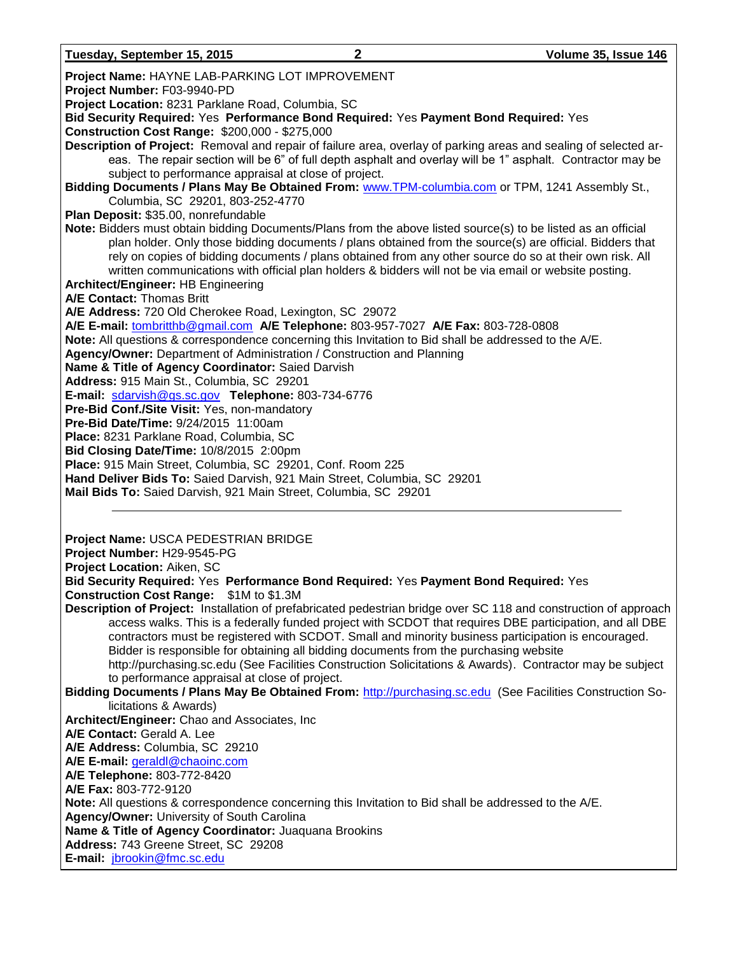| Project Name: HAYNE LAB-PARKING LOT IMPROVEMENT                                                                  |
|------------------------------------------------------------------------------------------------------------------|
| Project Number: F03-9940-PD                                                                                      |
| Project Location: 8231 Parklane Road, Columbia, SC                                                               |
| Bid Security Required: Yes Performance Bond Required: Yes Payment Bond Required: Yes                             |
| Construction Cost Range: \$200,000 - \$275,000                                                                   |
| Description of Project: Removal and repair of failure area, overlay of parking areas and sealing of selected ar- |
| eas. The repair section will be 6" of full depth asphalt and overlay will be 1" asphalt. Contractor may be       |
| subject to performance appraisal at close of project.                                                            |
| Bidding Documents / Plans May Be Obtained From: www.TPM-columbia.com or TPM, 1241 Assembly St.,                  |
| Columbia, SC 29201, 803-252-4770                                                                                 |
| Plan Deposit: \$35.00, nonrefundable                                                                             |
| Note: Bidders must obtain bidding Documents/Plans from the above listed source(s) to be listed as an official    |
| plan holder. Only those bidding documents / plans obtained from the source(s) are official. Bidders that         |
| rely on copies of bidding documents / plans obtained from any other source do so at their own risk. All          |
| written communications with official plan holders & bidders will not be via email or website posting.            |
| Architect/Engineer: HB Engineering                                                                               |
| A/E Contact: Thomas Britt                                                                                        |
| A/E Address: 720 Old Cherokee Road, Lexington, SC 29072                                                          |
| A/E E-mail: tombritthb@gmail.com A/E Telephone: 803-957-7027 A/E Fax: 803-728-0808                               |
| Note: All questions & correspondence concerning this Invitation to Bid shall be addressed to the A/E.            |
| Agency/Owner: Department of Administration / Construction and Planning                                           |
| Name & Title of Agency Coordinator: Saied Darvish                                                                |
| Address: 915 Main St., Columbia, SC 29201                                                                        |
| E-mail: sdarvish@gs.sc.gov Telephone: 803-734-6776                                                               |
| Pre-Bid Conf./Site Visit: Yes, non-mandatory                                                                     |
| Pre-Bid Date/Time: 9/24/2015 11:00am                                                                             |
| Place: 8231 Parklane Road, Columbia, SC                                                                          |
| Bid Closing Date/Time: 10/8/2015 2:00pm                                                                          |
|                                                                                                                  |
|                                                                                                                  |
| Place: 915 Main Street, Columbia, SC 29201, Conf. Room 225                                                       |
| Hand Deliver Bids To: Saied Darvish, 921 Main Street, Columbia, SC 29201                                         |
| Mail Bids To: Saied Darvish, 921 Main Street, Columbia, SC 29201                                                 |
|                                                                                                                  |
|                                                                                                                  |
| Project Name: USCA PEDESTRIAN BRIDGE                                                                             |
| Project Number: H29-9545-PG                                                                                      |
| Project Location: Aiken, SC                                                                                      |
| Bid Security Required: Yes Performance Bond Required: Yes Payment Bond Required: Yes                             |
| Construction Cost Range: \$1M to \$1.3M                                                                          |
| Description of Project: Installation of prefabricated pedestrian bridge over SC 118 and construction of approach |
| access walks. This is a federally funded project with SCDOT that requires DBE participation, and all DBE         |
| contractors must be registered with SCDOT. Small and minority business participation is encouraged.              |
| Bidder is responsible for obtaining all bidding documents from the purchasing website                            |
| http://purchasing.sc.edu (See Facilities Construction Solicitations & Awards). Contractor may be subject         |
| to performance appraisal at close of project.                                                                    |
| Bidding Documents / Plans May Be Obtained From: http://purchasing.sc.edu (See Facilities Construction So-        |
| licitations & Awards)                                                                                            |
| Architect/Engineer: Chao and Associates, Inc                                                                     |
| A/E Contact: Gerald A. Lee                                                                                       |
| A/E Address: Columbia, SC 29210                                                                                  |
| A/E E-mail: geraldl@chaoinc.com                                                                                  |
| A/E Telephone: 803-772-8420                                                                                      |
| A/E Fax: 803-772-9120                                                                                            |
| <b>Note:</b> All questions & correspondence concerning this Invitation to Bid shall be addressed to the A/E.     |
| Agency/Owner: University of South Carolina                                                                       |
| Name & Title of Agency Coordinator: Juaquana Brookins                                                            |
| Address: 743 Greene Street, SC 29208<br>E-mail: jbrookin@fmc.sc.edu                                              |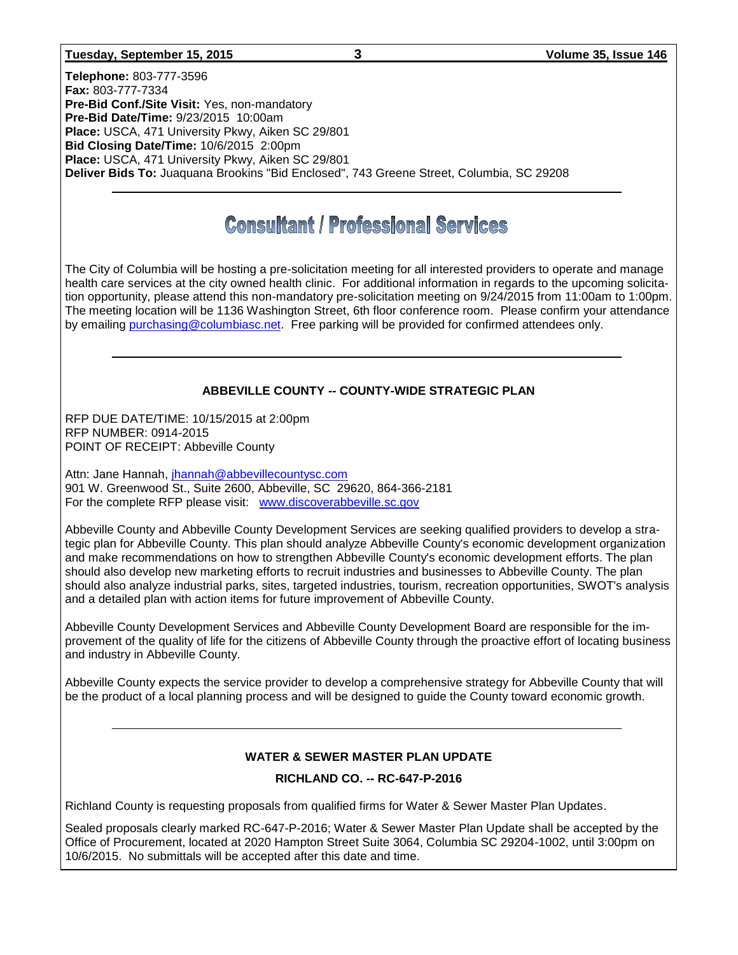#### **Tuesday, September 15, 2015 3 Volume 35, Issue 146**

**Telephone:** 803-777-3596 **Fax:** 803-777-7334 **Pre-Bid Conf./Site Visit:** Yes, non-mandatory **Pre-Bid Date/Time:** 9/23/2015 10:00am **Place:** USCA, 471 University Pkwy, Aiken SC 29/801 **Bid Closing Date/Time:** 10/6/2015 2:00pm **Place:** USCA, 471 University Pkwy, Aiken SC 29/801 **Deliver Bids To:** Juaquana Brookins "Bid Enclosed", 743 Greene Street, Columbia, SC 29208

# **Consultant / Professional Services**

The City of Columbia will be hosting a pre-solicitation meeting for all interested providers to operate and manage health care services at the city owned health clinic. For additional information in regards to the upcoming solicitation opportunity, please attend this non-mandatory pre-solicitation meeting on 9/24/2015 from 11:00am to 1:00pm. The meeting location will be 1136 Washington Street, 6th floor conference room. Please confirm your attendance by emailing [purchasing@columbiasc.net.](mailto:purchasing@columbiasc.net) Free parking will be provided for confirmed attendees only.

#### **ABBEVILLE COUNTY -- COUNTY-WIDE STRATEGIC PLAN**

RFP DUE DATE/TIME: 10/15/2015 at 2:00pm RFP NUMBER: 0914-2015 POINT OF RECEIPT: Abbeville County

Attn: Jane Hannah, [jhannah@abbevillecountysc.com](mailto:jhannah@abbevillecountysc.com) 901 W. Greenwood St., Suite 2600, Abbeville, SC 29620, 864-366-2181 For the complete RFP please visit: [www.discoverabbeville.sc.gov](http://www.discoverabbeville.sc.gov/)

Abbeville County and Abbeville County Development Services are seeking qualified providers to develop a strategic plan for Abbeville County. This plan should analyze Abbeville County's economic development organization and make recommendations on how to strengthen Abbeville County's economic development efforts. The plan should also develop new marketing efforts to recruit industries and businesses to Abbeville County. The plan should also analyze industrial parks, sites, targeted industries, tourism, recreation opportunities, SWOT's analysis and a detailed plan with action items for future improvement of Abbeville County.

Abbeville County Development Services and Abbeville County Development Board are responsible for the improvement of the quality of life for the citizens of Abbeville County through the proactive effort of locating business and industry in Abbeville County.

Abbeville County expects the service provider to develop a comprehensive strategy for Abbeville County that will be the product of a local planning process and will be designed to guide the County toward economic growth.

#### **WATER & SEWER MASTER PLAN UPDATE**

#### **RICHLAND CO. -- RC-647-P-2016**

Richland County is requesting proposals from qualified firms for Water & Sewer Master Plan Updates.

Sealed proposals clearly marked RC-647-P-2016; Water & Sewer Master Plan Update shall be accepted by the Office of Procurement, located at 2020 Hampton Street Suite 3064, Columbia SC 29204-1002, until 3:00pm on 10/6/2015. No submittals will be accepted after this date and time.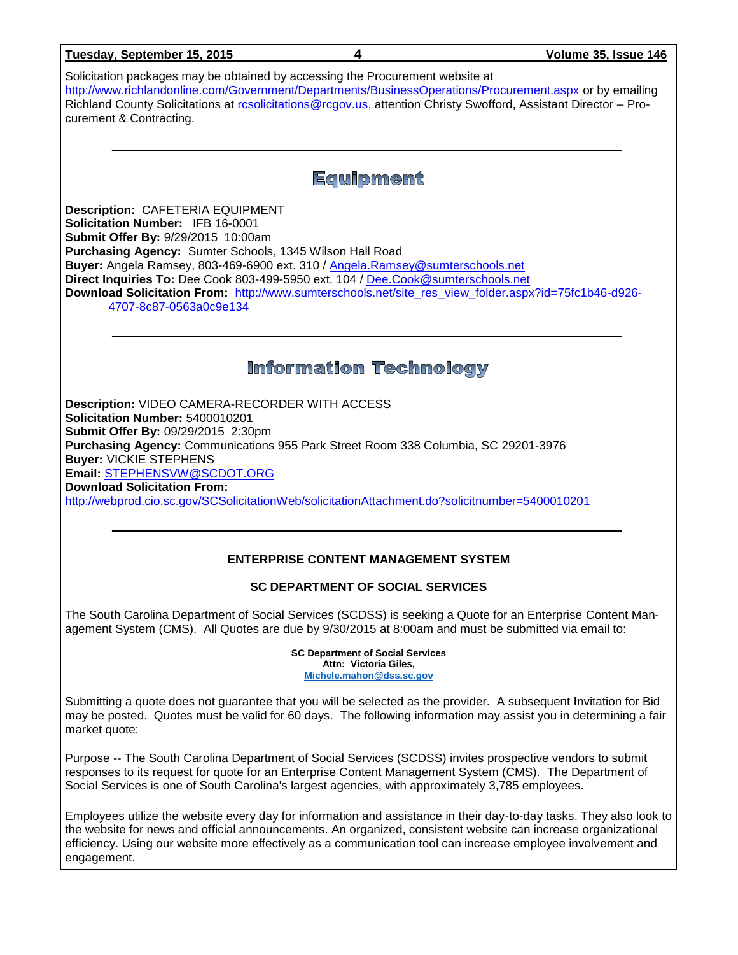| Tuesday, September 15, 2015                                                                                                                                                                                                                                                                                                                                                                                                                                                          | 4                                                                                            | Volume 35, Issue 146                                                                                                |
|--------------------------------------------------------------------------------------------------------------------------------------------------------------------------------------------------------------------------------------------------------------------------------------------------------------------------------------------------------------------------------------------------------------------------------------------------------------------------------------|----------------------------------------------------------------------------------------------|---------------------------------------------------------------------------------------------------------------------|
| Solicitation packages may be obtained by accessing the Procurement website at<br>http://www.richlandonline.com/Government/Departments/BusinessOperations/Procurement.aspx or by emailing<br>Richland County Solicitations at resolicitations@regov.us, attention Christy Swofford, Assistant Director - Pro-<br>curement & Contracting.                                                                                                                                              |                                                                                              |                                                                                                                     |
|                                                                                                                                                                                                                                                                                                                                                                                                                                                                                      | <b>Equipment</b>                                                                             |                                                                                                                     |
| <b>Description: CAFETERIA EQUIPMENT</b><br>Solicitation Number: IFB 16-0001<br>Submit Offer By: 9/29/2015 10:00am<br>Purchasing Agency: Sumter Schools, 1345 Wilson Hall Road<br>Buyer: Angela Ramsey, 803-469-6900 ext. 310 / Angela.Ramsey@sumterschools.net<br>Direct Inquiries To: Dee Cook 803-499-5950 ext. 104 / Dee.Cook@sumterschools.net<br>Download Solicitation From: http://www.sumterschools.net/site_res_view_folder.aspx?id=75fc1b46-d926-<br>4707-8c87-0563a0c9e134 |                                                                                              |                                                                                                                     |
|                                                                                                                                                                                                                                                                                                                                                                                                                                                                                      | <b>Information Technology</b>                                                                |                                                                                                                     |
| Description: VIDEO CAMERA-RECORDER WITH ACCESS<br>Solicitation Number: 5400010201<br>Submit Offer By: 09/29/2015 2:30pm<br>Purchasing Agency: Communications 955 Park Street Room 338 Columbia, SC 29201-3976<br><b>Buyer: VICKIE STEPHENS</b><br>Email: STEPHENSVW@SCDOT.ORG<br><b>Download Solicitation From:</b><br>http://webprod.cio.sc.gov/SCSolicitationWeb/solicitationAttachment.do?solicitnumber=5400010201                                                                |                                                                                              |                                                                                                                     |
|                                                                                                                                                                                                                                                                                                                                                                                                                                                                                      | <b>ENTERPRISE CONTENT MANAGEMENT SYSTEM</b>                                                  |                                                                                                                     |
|                                                                                                                                                                                                                                                                                                                                                                                                                                                                                      | <b>SC DEPARTMENT OF SOCIAL SERVICES</b>                                                      |                                                                                                                     |
| The South Carolina Department of Social Services (SCDSS) is seeking a Quote for an Enterprise Content Man-<br>agement System (CMS). All Quotes are due by 9/30/2015 at 8:00am and must be submitted via email to:                                                                                                                                                                                                                                                                    |                                                                                              |                                                                                                                     |
|                                                                                                                                                                                                                                                                                                                                                                                                                                                                                      | <b>SC Department of Social Services</b><br>Attn: Victoria Giles,<br>Michele.mahon@dss.sc.gov |                                                                                                                     |
| Submitting a quote does not guarantee that you will be selected as the provider. A subsequent Invitation for Bid<br>market quote:                                                                                                                                                                                                                                                                                                                                                    |                                                                                              | may be posted. Quotes must be valid for 60 days. The following information may assist you in determining a fair     |
| Purpose -- The South Carolina Department of Social Services (SCDSS) invites prospective vendors to submit<br>responses to its request for quote for an Enterprise Content Management System (CMS). The Department of<br>Social Services is one of South Carolina's largest agencies, with approximately 3,785 employees.                                                                                                                                                             |                                                                                              |                                                                                                                     |
| the website for news and official announcements. An organized, consistent website can increase organizational<br>efficiency. Using our website more effectively as a communication tool can increase employee involvement and<br>engagement.                                                                                                                                                                                                                                         |                                                                                              | Employees utilize the website every day for information and assistance in their day-to-day tasks. They also look to |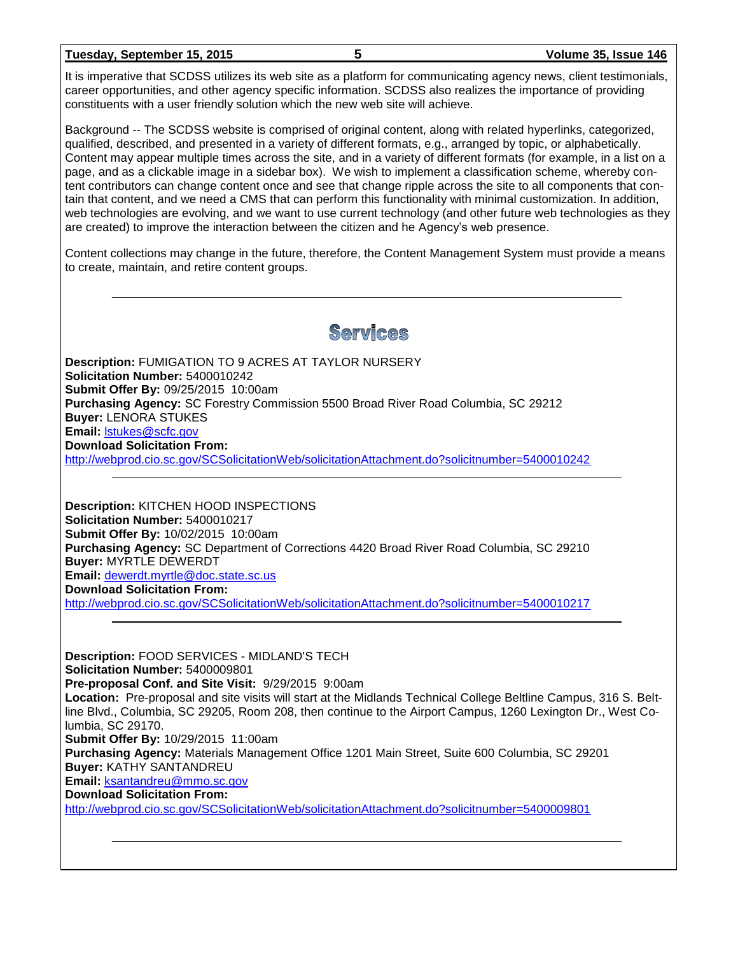#### **Tuesday, September 15, 2015 5 Volume 35, Issue 146**

It is imperative that SCDSS utilizes its web site as a platform for communicating agency news, client testimonials, career opportunities, and other agency specific information. SCDSS also realizes the importance of providing constituents with a user friendly solution which the new web site will achieve.

Background -- The SCDSS website is comprised of original content, along with related hyperlinks, categorized, qualified, described, and presented in a variety of different formats, e.g., arranged by topic, or alphabetically. Content may appear multiple times across the site, and in a variety of different formats (for example, in a list on a page, and as a clickable image in a sidebar box). We wish to implement a classification scheme, whereby content contributors can change content once and see that change ripple across the site to all components that contain that content, and we need a CMS that can perform this functionality with minimal customization. In addition, web technologies are evolving, and we want to use current technology (and other future web technologies as they are created) to improve the interaction between the citizen and he Agency's web presence.

Content collections may change in the future, therefore, the Content Management System must provide a means to create, maintain, and retire content groups.

# Services

**Description:** FUMIGATION TO 9 ACRES AT TAYLOR NURSERY **Solicitation Number:** 5400010242 **Submit Offer By:** 09/25/2015 10:00am **Purchasing Agency:** SC Forestry Commission 5500 Broad River Road Columbia, SC 29212 **Buyer:** LENORA STUKES **Email:** [lstukes@scfc.gov](mailto:lstukes@scfc.gov) **Download Solicitation From:**  <http://webprod.cio.sc.gov/SCSolicitationWeb/solicitationAttachment.do?solicitnumber=5400010242>

**Description:** KITCHEN HOOD INSPECTIONS **Solicitation Number:** 5400010217 **Submit Offer By:** 10/02/2015 10:00am **Purchasing Agency:** SC Department of Corrections 4420 Broad River Road Columbia, SC 29210 **Buyer:** MYRTLE DEWERDT **Email:** [dewerdt.myrtle@doc.state.sc.us](mailto:dewerdt.myrtle@doc.state.sc.us) **Download Solicitation From:** 

<http://webprod.cio.sc.gov/SCSolicitationWeb/solicitationAttachment.do?solicitnumber=5400010217>

**Description:** FOOD SERVICES - MIDLAND'S TECH **Solicitation Number:** 5400009801 **Pre-proposal Conf. and Site Visit:** 9/29/2015 9:00am **Location:** Pre-proposal and site visits will start at the Midlands Technical College Beltline Campus, 316 S. Beltline Blvd., Columbia, SC 29205, Room 208, then continue to the Airport Campus, 1260 Lexington Dr., West Columbia, SC 29170. **Submit Offer By:** 10/29/2015 11:00am **Purchasing Agency:** Materials Management Office 1201 Main Street, Suite 600 Columbia, SC 29201 **Buyer:** KATHY SANTANDREU **Email:** [ksantandreu@mmo.sc.gov](mailto:ksantandreu@mmo.sc.gov) **Download Solicitation From:**  <http://webprod.cio.sc.gov/SCSolicitationWeb/solicitationAttachment.do?solicitnumber=5400009801>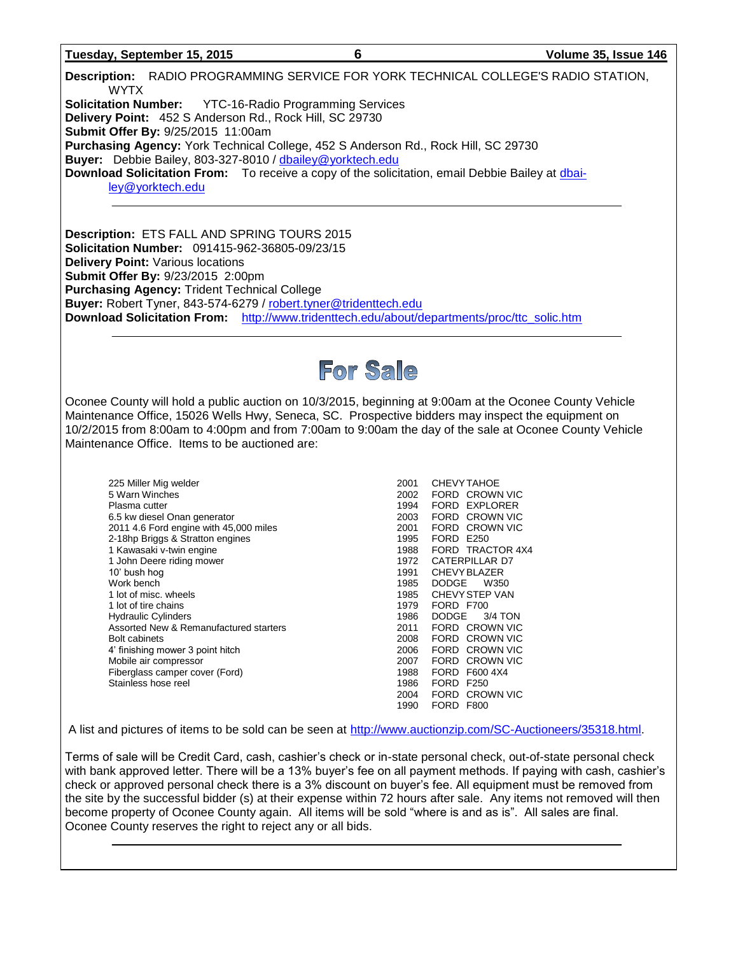#### **Tuesday, September 15, 2015 6 Volume 35, Issue 146**

**Description:** RADIO PROGRAMMING SERVICE FOR YORK TECHNICAL COLLEGE'S RADIO STATION, WYTX **Solicitation Number:** YTC-16-Radio Programming Services **Delivery Point:** 452 S Anderson Rd., Rock Hill, SC 29730 **Submit Offer By:** 9/25/2015 11:00am **Purchasing Agency:** York Technical College, 452 S Anderson Rd., Rock Hill, SC 29730 **Buyer:** Debbie Bailey, 803-327-8010 / [dbailey@yorktech.edu](mailto:dbailey@yorktech.edu) **Download Solicitation From:** To receive a copy of the solicitation, email Debbie Bailey at [dbai](mailto:dbailey@yorktech.edu)[ley@yorktech.edu](mailto:dbailey@yorktech.edu)

**Description:** ETS FALL AND SPRING TOURS 2015 **Solicitation Number:** 091415-962-36805-09/23/15 **Delivery Point:** Various locations **Submit Offer By:** 9/23/2015 2:00pm **Purchasing Agency:** Trident Technical College **Buyer:** Robert Tyner, 843-574-6279 / [robert.tyner@tridenttech.edu](mailto:robert.tyner@tridenttech.edu) **Download Solicitation From:** [http://www.tridenttech.edu/about/departments/proc/ttc\\_solic.htm](http://www.tridenttech.edu/about/departments/proc/ttc_solic.htm)



Oconee County will hold a public auction on 10/3/2015, beginning at 9:00am at the Oconee County Vehicle Maintenance Office, 15026 Wells Hwy, Seneca, SC. Prospective bidders may inspect the equipment on 10/2/2015 from 8:00am to 4:00pm and from 7:00am to 9:00am the day of the sale at Oconee County Vehicle Maintenance Office. Items to be auctioned are:

| 225 Miller Mig welder<br>5 Warn Winches<br>Plasma cutter<br>6.5 kw diesel Onan generator<br>2011 4.6 Ford engine with 45,000 miles<br>2-18hp Briggs & Stratton engines<br>1 Kawasaki v-twin engine<br>1 John Deere riding mower<br>10' bush hoq<br>Work bench<br>1 lot of misc, wheels<br>1 lot of tire chains<br><b>Hydraulic Cylinders</b><br>Assorted New & Remanufactured starters<br><b>Bolt cabinets</b><br>4' finishing mower 3 point hitch<br>Mobile air compressor<br>Fiberglass camper cover (Ford) |
|---------------------------------------------------------------------------------------------------------------------------------------------------------------------------------------------------------------------------------------------------------------------------------------------------------------------------------------------------------------------------------------------------------------------------------------------------------------------------------------------------------------|
| Stainless hose reel                                                                                                                                                                                                                                                                                                                                                                                                                                                                                           |
|                                                                                                                                                                                                                                                                                                                                                                                                                                                                                                               |

2001 CHEVYTAHOE 2002 FORD CROWN VIC 1994 FORD EXPLORER 2003 FORD CROWN VIC 2001 FORD CROWN VIC<br>1995 FORD E250 FORD E250 1988 FORD TRACTOR 4X4<br>1972 CATERPILLAR D7 CATERPILLAR D7 1991 CHEVY BLAZER<br>1985 DODGE W350 DODGE W350 1985 CHEVY STEP VAN<br>1979 FORD F700 FORD F700 1986 DODGE 3/4 TON 2011 FORD CROWN VIC 2008 FORD CROWN VIC<br>2006 FORD CROWN VIC FORD CROWN VIC 2007 FORD CROWN VIC 1988 FORD F600 4X4 1986 FORD F250<br>2004 FORD CRO FORD CROWN VIC 1990 FORD F800

A list and pictures of items to be sold can be seen at [http://www.auctionzip.com/SC-Auctioneers/35318.html.](http://www.auctionzip.com/SC-Auctioneers/35318.html)

Terms of sale will be Credit Card, cash, cashier's check or in-state personal check, out-of-state personal check with bank approved letter. There will be a 13% buyer's fee on all payment methods. If paying with cash, cashier's check or approved personal check there is a 3% discount on buyer's fee. All equipment must be removed from the site by the successful bidder (s) at their expense within 72 hours after sale. Any items not removed will then become property of Oconee County again. All items will be sold "where is and as is". All sales are final. Oconee County reserves the right to reject any or all bids.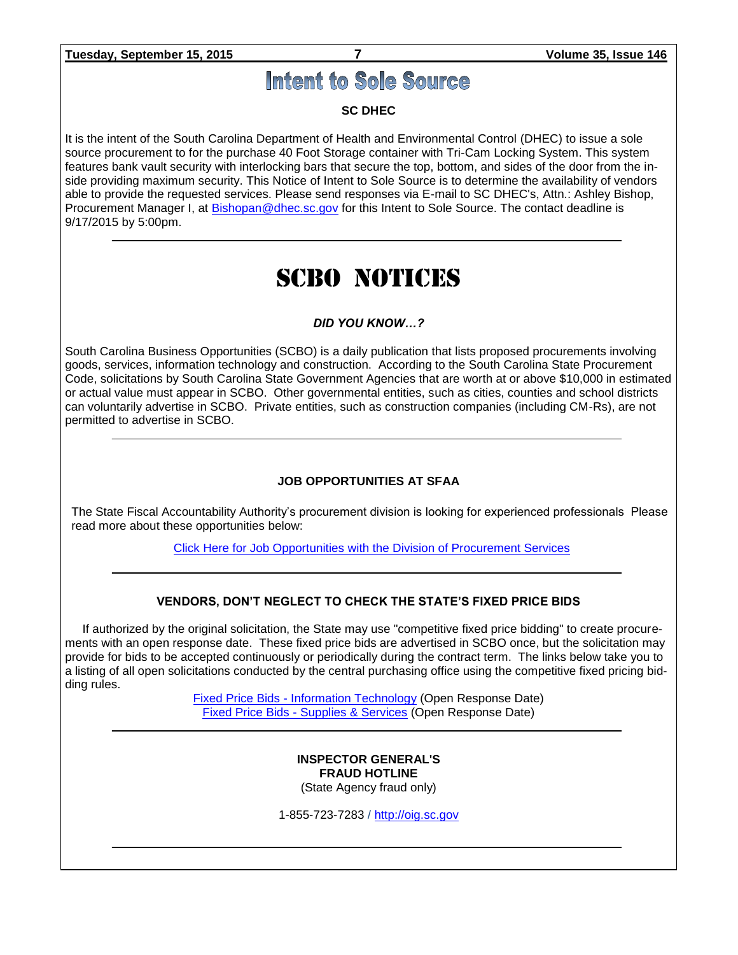**Tuesday, September 15, 2015 7 Volume 35, Issue 146**

# Intent to Sole Source

#### **SC DHEC**

It is the intent of the South Carolina Department of Health and Environmental Control (DHEC) to issue a sole source procurement to for the purchase 40 Foot Storage container with Tri-Cam Locking System. This system features bank vault security with interlocking bars that secure the top, bottom, and sides of the door from the inside providing maximum security. This Notice of Intent to Sole Source is to determine the availability of vendors able to provide the requested services. Please send responses via E-mail to SC DHEC's, Attn.: Ashley Bishop, Procurement Manager I, at [Bishopan@dhec.sc.gov](mailto:Bishopan@dhec.sc.gov) for this Intent to Sole Source. The contact deadline is 9/17/2015 by 5:00pm.

# SCBO NOTICES

#### *DID YOU KNOW…?*

South Carolina Business Opportunities (SCBO) is a daily publication that lists proposed procurements involving goods, services, information technology and construction. According to the South Carolina State Procurement Code, solicitations by South Carolina State Government Agencies that are worth at or above \$10,000 in estimated or actual value must appear in SCBO. Other governmental entities, such as cities, counties and school districts can voluntarily advertise in SCBO. Private entities, such as construction companies (including CM-Rs), are not permitted to advertise in SCBO.

#### **JOB OPPORTUNITIES AT SFAA**

The State Fiscal Accountability Authority's procurement division is looking for experienced professionals Please read more about these opportunities below:

[Click Here for Job Opportunities with the Division of Procurement Services](http://procurement.sc.gov/webfiles/MMO_scbo/SCBO%20Online/SFAA_job_opportunities.pdf)

#### **VENDORS, DON'T NEGLECT TO CHECK THE STATE'S FIXED PRICE BIDS**

If authorized by the original solicitation, the State may use "competitive fixed price bidding" to create procurements with an open response date. These fixed price bids are advertised in SCBO once, but the solicitation may provide for bids to be accepted continuously or periodically during the contract term. The links below take you to a listing of all open solicitations conducted by the central purchasing office using the competitive fixed pricing bidding rules.

> Fixed Price Bids - [Information Technology](http://www.mmo.sc.gov/PS/vendor/PS-vendor-fixed-price-bids-it.phtm) (Open Response Date) Fixed Price Bids - [Supplies & Services](http://www.mmo.sc.gov/PS/vendor/PS-vendor-fixed-price-bids-ss.phtm) (Open Response Date)

#### **INSPECTOR GENERAL'S FRAUD HOTLINE** (State Agency fraud only)

1-855-723-7283 / [http://oig.sc.gov](http://oig.sc.gov/)